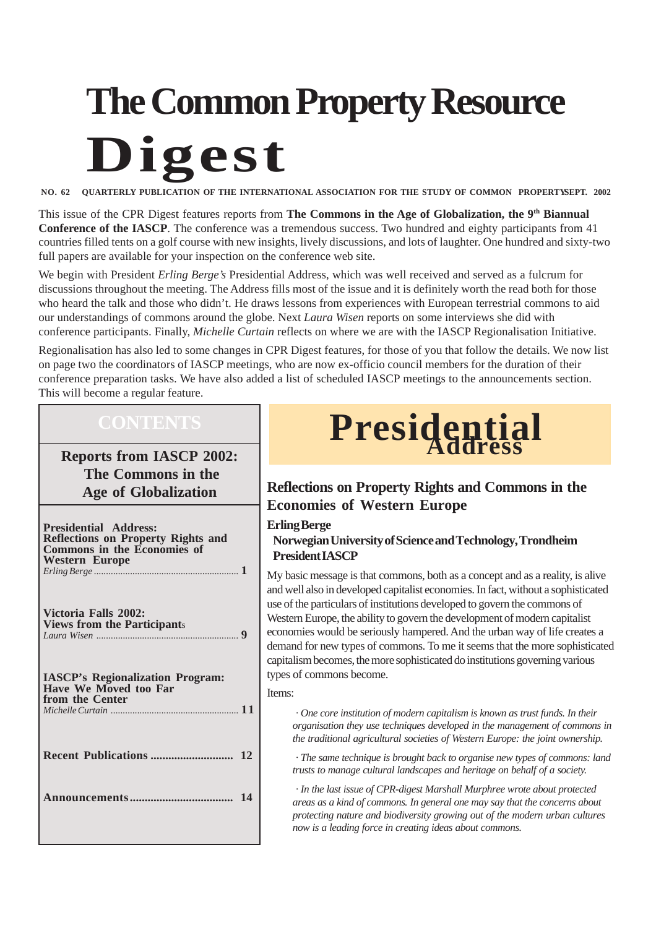# **The Common Property Resource Digest**

**NO. 62 QUARTERLY PUBLICATION OF THE INTERNATIONAL ASSOCIATION FOR THE STUDY OF COMMON PROPERTYSEPT. 2002**

This issue of the CPR Digest features reports from **The Commons in the Age of Globalization, the 9th Biannual Conference of the IASCP**. The conference was a tremendous success. Two hundred and eighty participants from 41 countries filled tents on a golf course with new insights, lively discussions, and lots of laughter. One hundred and sixty-two full papers are available for your inspection on the conference web site.

We begin with President *Erling Berge's* Presidential Address, which was well received and served as a fulcrum for discussions throughout the meeting. The Address fills most of the issue and it is definitely worth the read both for those who heard the talk and those who didn't. He draws lessons from experiences with European terrestrial commons to aid our understandings of commons around the globe. Next *Laura Wisen* reports on some interviews she did with conference participants. Finally, *Michelle Curtain* reflects on where we are with the IASCP Regionalisation Initiative.

Regionalisation has also led to some changes in CPR Digest features, for those of you that follow the details. We now list on page two the coordinators of IASCP meetings, who are now ex-officio council members for the duration of their conference preparation tasks. We have also added a list of scheduled IASCP meetings to the announcements section. This will become a regular feature.

**Reports from IASCP 2002: The Commons in the Age of Globalization**

| <b>Presidential Address:</b><br><b>Reflections on Property Rights and</b><br>Commons in the Economies of<br><b>Western Europe</b> |
|-----------------------------------------------------------------------------------------------------------------------------------|
| Victoria Falls 2002:<br><b>Views from the Participants</b>                                                                        |
| <b>IASCP's Regionalization Program:</b><br>Have We Moved too Far<br>from the Center                                               |
|                                                                                                                                   |
|                                                                                                                                   |
|                                                                                                                                   |



#### **Reflections on Property Rights and Commons in the Economies of Western Europe**

#### **Erling Berge**

**Norwegian University of Science and Technology, Trondheim President IASCP**

My basic message is that commons, both as a concept and as a reality, is alive and well also in developed capitalist economies. In fact, without a sophisticated use of the particulars of institutions developed to govern the commons of Western Europe, the ability to govern the development of modern capitalist economies would be seriously hampered. And the urban way of life creates a demand for new types of commons. To me it seems that the more sophisticated capitalism becomes, the more sophisticated do institutions governing various types of commons become.

#### Items:

*· One core institution of modern capitalism is known as trust funds. In their organisation they use techniques developed in the management of commons in the traditional agricultural societies of Western Europe: the joint ownership.*

*· The same technique is brought back to organise new types of commons: land trusts to manage cultural landscapes and heritage on behalf of a society.*

*· In the last issue of CPR-digest Marshall Murphree wrote about protected areas as a kind of commons. In general one may say that the concerns about protecting nature and biodiversity growing out of the modern urban cultures now is a leading force in creating ideas about commons.*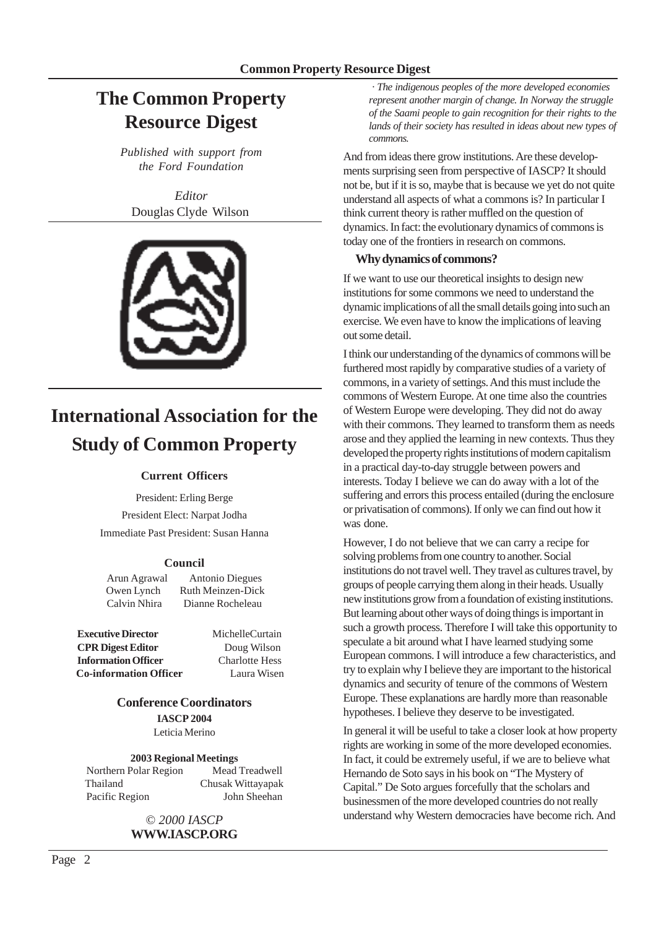### **The Common Property Resource Digest**

*Published with support from the Ford Foundation*

*Editor* Douglas Clyde Wilson



## **International Association for the Study of Common Property**

#### **Current Officers**

President: Erling Berge President Elect: Narpat Jodha Immediate Past President: Susan Hanna

#### **Council**

Arun Agrawal Antonio Diegues Owen Lynch Ruth Meinzen-Dick Calvin Nhira Dianne Rocheleau

**Executive Director** MichelleCurtain **CPR Digest Editor** Doug Wilson **Information Officer** Charlotte Hess  **Co-information Officer** Laura Wisen

#### **Conference Coordinators IASCP 2004** Leticia Merino

**2003 Regional Meetings**

Northern Polar Region Mead Treadwell Thailand Chusak Wittayapak Pacific Region John Sheehan

> © *2000 IASCP* **WWW.IASCP.ORG**

*· The indigenous peoples of the more developed economies represent another margin of change. In Norway the struggle of the Saami people to gain recognition for their rights to the lands of their society has resulted in ideas about new types of commons.*

And from ideas there grow institutions. Are these developments surprising seen from perspective of IASCP? It should not be, but if it is so, maybe that is because we yet do not quite understand all aspects of what a commons is? In particular I think current theory is rather muffled on the question of dynamics. In fact: the evolutionary dynamics of commons is today one of the frontiers in research on commons.

#### **Why dynamics of commons?**

If we want to use our theoretical insights to design new institutions for some commons we need to understand the dynamic implications of all the small details going into such an exercise. We even have to know the implications of leaving out some detail.

I think our understanding of the dynamics of commons will be furthered most rapidly by comparative studies of a variety of commons, in a variety of settings. And this must include the commons of Western Europe. At one time also the countries of Western Europe were developing. They did not do away with their commons. They learned to transform them as needs arose and they applied the learning in new contexts. Thus they developed the property rights institutions of modern capitalism in a practical day-to-day struggle between powers and interests. Today I believe we can do away with a lot of the suffering and errors this process entailed (during the enclosure or privatisation of commons). If only we can find out how it was done.

However, I do not believe that we can carry a recipe for solving problems from one country to another. Social institutions do not travel well. They travel as cultures travel, by groups of people carrying them along in their heads. Usually new institutions grow from a foundation of existing institutions. But learning about other ways of doing things is important in such a growth process. Therefore I will take this opportunity to speculate a bit around what I have learned studying some European commons. I will introduce a few characteristics, and try to explain why I believe they are important to the historical dynamics and security of tenure of the commons of Western Europe. These explanations are hardly more than reasonable hypotheses. I believe they deserve to be investigated.

In general it will be useful to take a closer look at how property rights are working in some of the more developed economies. In fact, it could be extremely useful, if we are to believe what Hernando de Soto says in his book on "The Mystery of Capital." De Soto argues forcefully that the scholars and businessmen of the more developed countries do not really understand why Western democracies have become rich. And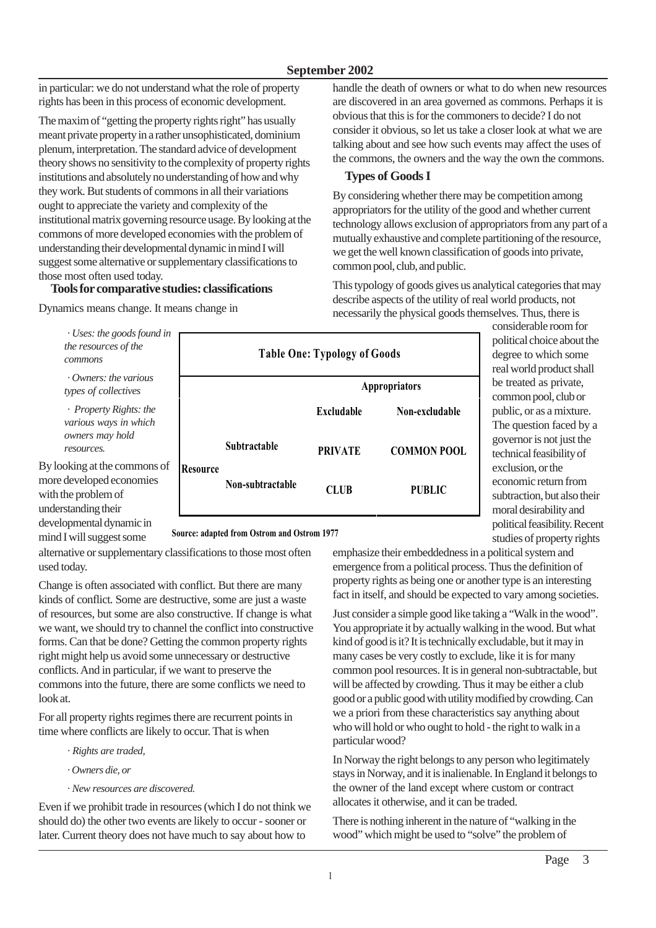in particular: we do not understand what the role of property rights has been in this process of economic development.

The maxim of "getting the property rights right" has usually meant private property in a rather unsophisticated, dominium plenum, interpretation. The standard advice of development theory shows no sensitivity to the complexity of property rights institutions and absolutely no understanding of how and why they work. But students of commons in all their variations ought to appreciate the variety and complexity of the institutional matrix governing resource usage. By looking at the commons of more developed economies with the problem of understanding their developmental dynamic in mind I will suggest some alternative or supplementary classifications to those most often used today.

#### **Tools for comparative studies: classifications**

Dynamics means change. It means change in

handle the death of owners or what to do when new resources are discovered in an area governed as commons. Perhaps it is obvious that this is for the commoners to decide? I do not consider it obvious, so let us take a closer look at what we are talking about and see how such events may affect the uses of the commons, the owners and the way the own the commons.

#### **Types of Goods I**

By considering whether there may be competition among appropriators for the utility of the good and whether current technology allows exclusion of appropriators from any part of a mutually exhaustive and complete partitioning of the resource, we get the well known classification of goods into private, common pool, club, and public.

This typology of goods gives us analytical categories that may describe aspects of the utility of real world products, not necessarily the physical goods themselves. Thus, there is

*· Uses: the goods found i the resources of the commons*

*· Owners: the various types of collectives*

*· Property Rights: the various ways in which owners may hold resources.*

By looking at the commons of more developed economies with the problem of understanding their developmental dynamic in mind I will suggest some

| n | <b>Table One: Typology of Goods</b> |                     |                      |                    |
|---|-------------------------------------|---------------------|----------------------|--------------------|
|   |                                     |                     | <b>Appropriators</b> |                    |
|   |                                     |                     | <b>Excludable</b>    | Non-excludable     |
| f | Resource                            | <b>Subtractable</b> | <b>PRIVATE</b>       | <b>COMMON POOL</b> |
|   |                                     | Non-subtractable    | <b>CLUB</b>          | <b>PUBLIC</b>      |

considerable room for political choice about the degree to which some real world product shall be treated as private, common pool, club or public, or as a mixture. The question faced by a governor is not just the technical feasibility of exclusion, or the economic return from subtraction, but also their moral desirability and political feasibility. Recent studies of property rights

#### **Source: adapted from Ostrom and Ostrom 1977**

alternative or supplementary classifications to those most often used today.

Change is often associated with conflict. But there are many kinds of conflict. Some are destructive, some are just a waste of resources, but some are also constructive. If change is what we want, we should try to channel the conflict into constructive forms. Can that be done? Getting the common property rights right might help us avoid some unnecessary or destructive conflicts. And in particular, if we want to preserve the commons into the future, there are some conflicts we need to look at.

For all property rights regimes there are recurrent points in time where conflicts are likely to occur. That is when

- *· Rights are traded,*
- *· Owners die, or*
- *· New resources are discovered.*

Even if we prohibit trade in resources (which I do not think we should do) the other two events are likely to occur - sooner or later. Current theory does not have much to say about how to

emphasize their embeddedness in a political system and emergence from a political process. Thus the definition of property rights as being one or another type is an interesting fact in itself, and should be expected to vary among societies.

Just consider a simple good like taking a "Walk in the wood". You appropriate it by actually walking in the wood. But what kind of good is it? It is technically excludable, but it may in many cases be very costly to exclude, like it is for many common pool resources. It is in general non-subtractable, but will be affected by crowding. Thus it may be either a club good or a public good with utility modified by crowding. Can we a priori from these characteristics say anything about who will hold or who ought to hold - the right to walk in a particular wood?

In Norway the right belongs to any person who legitimately stays in Norway, and it is inalienable. In England it belongs to the owner of the land except where custom or contract allocates it otherwise, and it can be traded.

There is nothing inherent in the nature of "walking in the wood" which might be used to "solve" the problem of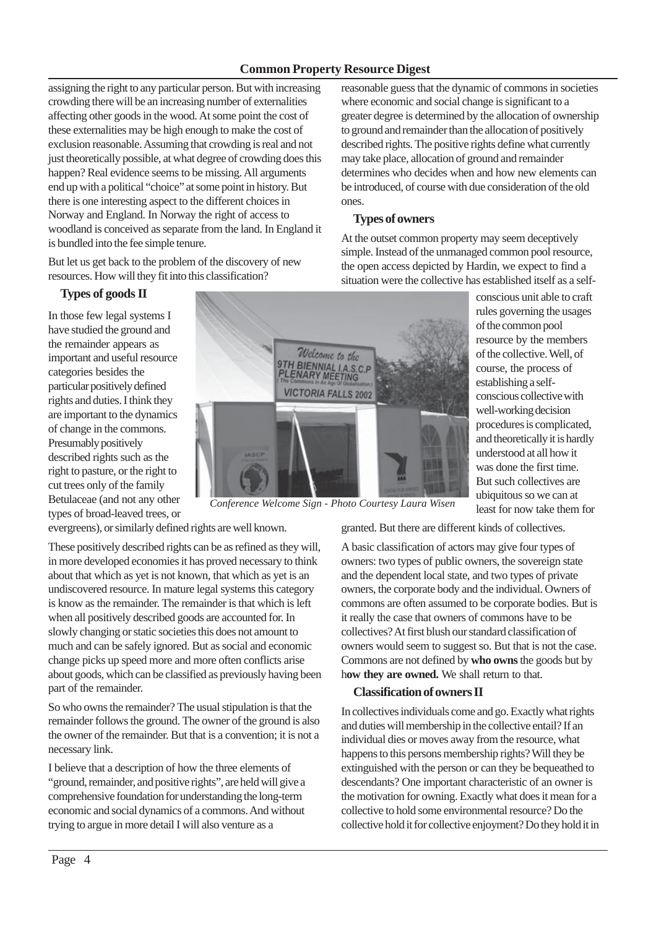#### **Common Property Resource Digest**

assigning the right to any particular person. But with increasing crowding there will be an increasing number of externalities affecting other goods in the wood. At some point the cost of these externalities may be high enough to make the cost of exclusion reasonable. Assuming that crowding is real and not just theoretically possible, at what degree of crowding does this happen? Real evidence seems to be missing. All arguments end up with a political "choice" at some point in history. But there is one interesting aspect to the different choices in Norway and England. In Norway the right of access to woodland is conceived as separate from the land. In England it is bundled into the fee simple tenure.

But let us get back to the problem of the discovery of new resources. How will they fit into this classification?

#### **Types of goods II**

In those few legal systems I have studied the ground and the remainder appears as important and useful resource categories besides the particular positively defined rights and duties. I think they are important to the dynamics of change in the commons. Presumably positively described rights such as the right to pasture, or the right to cut trees only of the family Betulaceae (and not any other types of broad-leaved trees, or



*Conference Welcome Sign - Photo Courtesy Laura Wisen*

evergreens), or similarly defined rights are well known.

These positively described rights can be as refined as they will, in more developed economies it has proved necessary to think about that which as yet is not known, that which as yet is an undiscovered resource. In mature legal systems this category is know as the remainder. The remainder is that which is left when all positively described goods are accounted for. In slowly changing or static societies this does not amount to much and can be safely ignored. But as social and economic change picks up speed more and more often conflicts arise about goods, which can be classified as previously having been part of the remainder.

So who owns the remainder? The usual stipulation is that the remainder follows the ground. The owner of the ground is also the owner of the remainder. But that is a convention; it is not a necessary link.

I believe that a description of how the three elements of "ground, remainder, and positive rights", are held will give a comprehensive foundation for understanding the long-term economic and social dynamics of a commons. And without trying to argue in more detail I will also venture as a

reasonable guess that the dynamic of commons in societies where economic and social change is significant to a greater degree is determined by the allocation of ownership to ground and remainder than the allocation of positively described rights. The positive rights define what currently may take place, allocation of ground and remainder determines who decides when and how new elements can be introduced, of course with due consideration of the old ones.

#### **Types of owners**

At the outset common property may seem deceptively simple. Instead of the unmanaged common pool resource, the open access depicted by Hardin, we expect to find a situation were the collective has established itself as a self-

> of the collective. Well, of course, the process of establishing a selfconscious collective with well-working decision procedures is complicated, and theoretically it is hardly understood at all how it was done the first time. But such collectives are ubiquitous so we can at least for now take them for

conscious unit able to craft rules governing the usages of the common pool resource by the members

granted. But there are different kinds of collectives.

A basic classification of actors may give four types of owners: two types of public owners, the sovereign state and the dependent local state, and two types of private owners, the corporate body and the individual. Owners of commons are often assumed to be corporate bodies. But is it really the case that owners of commons have to be collectives? At first blush our standard classification of owners would seem to suggest so. But that is not the case. Commons are not defined by **who owns** the goods but by how they are owned. We shall return to that.

#### **Classification of owners II**

In collectives individuals come and go. Exactly what rights and duties will membership in the collective entail? If an individual dies or moves away from the resource, what happens to this persons membership rights? Will they be extinguished with the person or can they be bequeathed to descendants? One important characteristic of an owner is the motivation for owning. Exactly what does it mean for a collective to hold some environmental resource? Do the collective hold it for collective enjoyment? Do they hold it in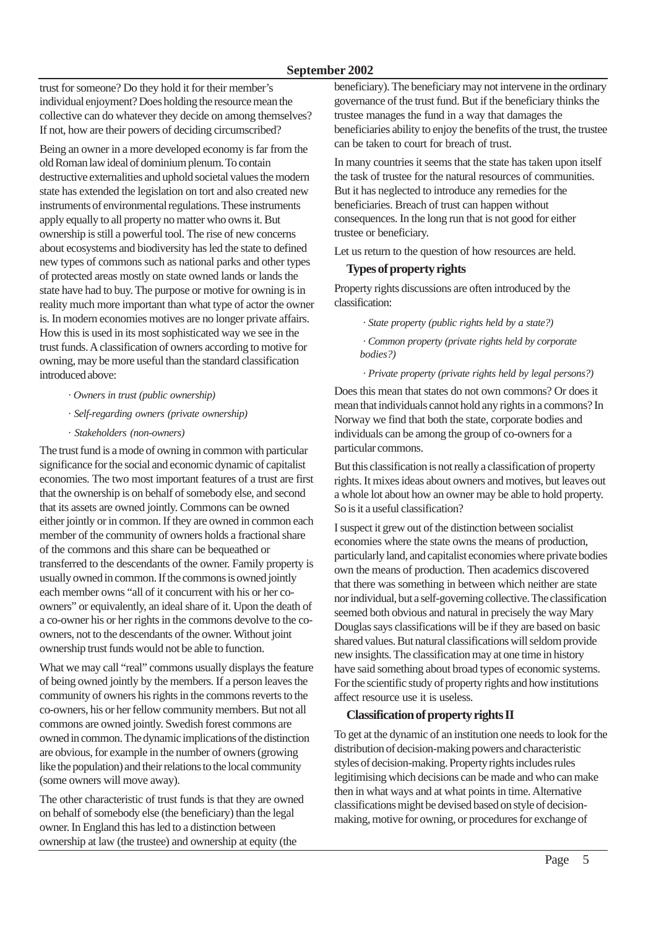trust for someone? Do they hold it for their member's individual enjoyment? Does holding the resource mean the collective can do whatever they decide on among themselves? If not, how are their powers of deciding circumscribed?

Being an owner in a more developed economy is far from the old Roman law ideal of dominium plenum. To contain destructive externalities and uphold societal values the modern state has extended the legislation on tort and also created new instruments of environmental regulations. These instruments apply equally to all property no matter who owns it. But ownership is still a powerful tool. The rise of new concerns about ecosystems and biodiversity has led the state to defined new types of commons such as national parks and other types of protected areas mostly on state owned lands or lands the state have had to buy. The purpose or motive for owning is in reality much more important than what type of actor the owner is. In modern economies motives are no longer private affairs. How this is used in its most sophisticated way we see in the trust funds. A classification of owners according to motive for owning, may be more useful than the standard classification introduced above:

- *· Owners in trust (public ownership)*
- *· Self-regarding owners (private ownership)*
- *· Stakeholders (non-owners)*

The trust fund is a mode of owning in common with particular significance for the social and economic dynamic of capitalist economies. The two most important features of a trust are first that the ownership is on behalf of somebody else, and second that its assets are owned jointly. Commons can be owned either jointly or in common. If they are owned in common each member of the community of owners holds a fractional share of the commons and this share can be bequeathed or transferred to the descendants of the owner. Family property is usually owned in common. If the commons is owned jointly each member owns "all of it concurrent with his or her coowners" or equivalently, an ideal share of it. Upon the death of a co-owner his or her rights in the commons devolve to the coowners, not to the descendants of the owner. Without joint ownership trust funds would not be able to function.

What we may call "real" commons usually displays the feature of being owned jointly by the members. If a person leaves the community of owners his rights in the commons reverts to the co-owners, his or her fellow community members. But not all commons are owned jointly. Swedish forest commons are owned in common. The dynamic implications of the distinction are obvious, for example in the number of owners (growing like the population) and their relations to the local community (some owners will move away).

The other characteristic of trust funds is that they are owned on behalf of somebody else (the beneficiary) than the legal owner. In England this has led to a distinction between ownership at law (the trustee) and ownership at equity (the

beneficiary). The beneficiary may not intervene in the ordinary governance of the trust fund. But if the beneficiary thinks the trustee manages the fund in a way that damages the beneficiaries ability to enjoy the benefits of the trust, the trustee can be taken to court for breach of trust.

In many countries it seems that the state has taken upon itself the task of trustee for the natural resources of communities. But it has neglected to introduce any remedies for the beneficiaries. Breach of trust can happen without consequences. In the long run that is not good for either trustee or beneficiary.

Let us return to the question of how resources are held.

#### **Types of property rights**

Property rights discussions are often introduced by the classification:

*· State property (public rights held by a state?)*

*· Common property (private rights held by corporate bodies?)*

*· Private property (private rights held by legal persons?)*

Does this mean that states do not own commons? Or does it mean that individuals cannot hold any rights in a commons? In Norway we find that both the state, corporate bodies and individuals can be among the group of co-owners for a particular commons.

But this classification is not really a classification of property rights. It mixes ideas about owners and motives, but leaves out a whole lot about how an owner may be able to hold property. So is it a useful classification?

I suspect it grew out of the distinction between socialist economies where the state owns the means of production, particularly land, and capitalist economies where private bodies own the means of production. Then academics discovered that there was something in between which neither are state nor individual, but a self-governing collective. The classification seemed both obvious and natural in precisely the way Mary Douglas says classifications will be if they are based on basic shared values. But natural classifications will seldom provide new insights. The classification may at one time in history have said something about broad types of economic systems. For the scientific study of property rights and how institutions affect resource use it is useless.

#### **Classification of property rights II**

To get at the dynamic of an institution one needs to look for the distribution of decision-making powers and characteristic styles of decision-making. Property rights includes rules legitimising which decisions can be made and who can make then in what ways and at what points in time. Alternative classifications might be devised based on style of decisionmaking, motive for owning, or procedures for exchange of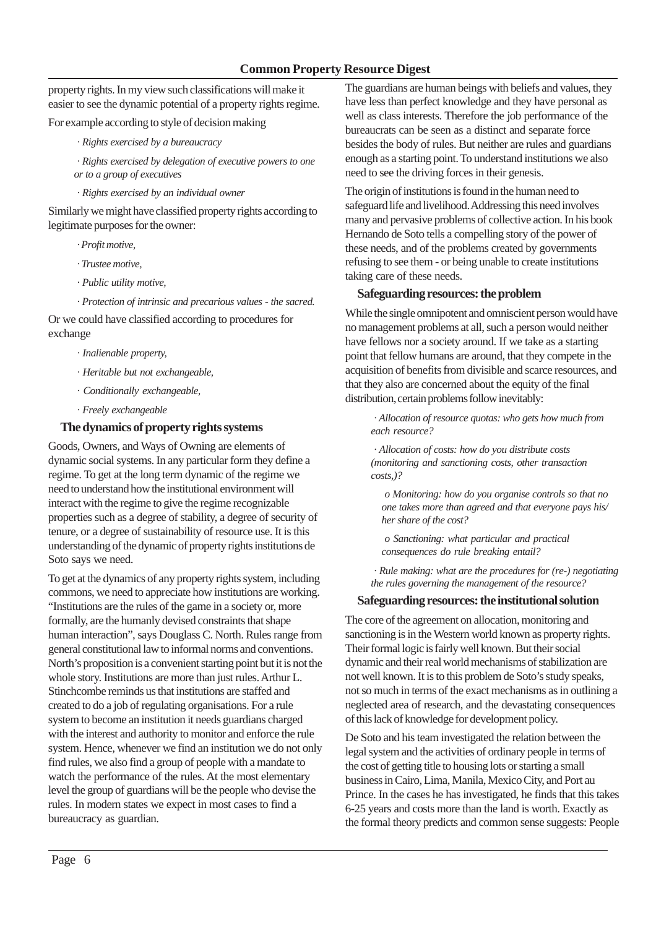property rights. In my view such classifications will make it easier to see the dynamic potential of a property rights regime.

For example according to style of decision making

*· Rights exercised by a bureaucracy*

*· Rights exercised by delegation of executive powers to one or to a group of executives*

*· Rights exercised by an individual owner*

Similarly we might have classified property rights according to legitimate purposes for the owner:

- *· Profit motive,*
- *· Trustee motive,*
- *· Public utility motive,*
- *· Protection of intrinsic and precarious values the sacred.*

Or we could have classified according to procedures for exchange

- *· Inalienable property,*
- *· Heritable but not exchangeable,*
- *· Conditionally exchangeable,*
- *· Freely exchangeable*

#### **The dynamics of property rights systems**

Goods, Owners, and Ways of Owning are elements of dynamic social systems. In any particular form they define a regime. To get at the long term dynamic of the regime we need to understand how the institutional environment will interact with the regime to give the regime recognizable properties such as a degree of stability, a degree of security of tenure, or a degree of sustainability of resource use. It is this understanding of the dynamic of property rights institutions de Soto says we need.

To get at the dynamics of any property rights system, including commons, we need to appreciate how institutions are working. "Institutions are the rules of the game in a society or, more formally, are the humanly devised constraints that shape human interaction", says Douglass C. North. Rules range from general constitutional law to informal norms and conventions. North's proposition is a convenient starting point but it is not the whole story. Institutions are more than just rules. Arthur L. Stinchcombe reminds us that institutions are staffed and created to do a job of regulating organisations. For a rule system to become an institution it needs guardians charged with the interest and authority to monitor and enforce the rule system. Hence, whenever we find an institution we do not only find rules, we also find a group of people with a mandate to watch the performance of the rules. At the most elementary level the group of guardians will be the people who devise the rules. In modern states we expect in most cases to find a bureaucracy as guardian.

The guardians are human beings with beliefs and values, they have less than perfect knowledge and they have personal as well as class interests. Therefore the job performance of the bureaucrats can be seen as a distinct and separate force besides the body of rules. But neither are rules and guardians enough as a starting point. To understand institutions we also need to see the driving forces in their genesis.

The origin of institutions is found in the human need to safeguard life and livelihood. Addressing this need involves many and pervasive problems of collective action. In his book Hernando de Soto tells a compelling story of the power of these needs, and of the problems created by governments refusing to see them - or being unable to create institutions taking care of these needs.

#### **Safeguarding resources: the problem**

While the single omnipotent and omniscient person would have no management problems at all, such a person would neither have fellows nor a society around. If we take as a starting point that fellow humans are around, that they compete in the acquisition of benefits from divisible and scarce resources, and that they also are concerned about the equity of the final distribution, certain problems follow inevitably:

*· Allocation of resource quotas: who gets how much from each resource?*

*· Allocation of costs: how do you distribute costs (monitoring and sanctioning costs, other transaction costs,)?*

*o Monitoring: how do you organise controls so that no one takes more than agreed and that everyone pays his/ her share of the cost?*

*o Sanctioning: what particular and practical consequences do rule breaking entail?*

*· Rule making: what are the procedures for (re-) negotiating the rules governing the management of the resource?*

#### **Safeguarding resources: the institutional solution**

The core of the agreement on allocation, monitoring and sanctioning is in the Western world known as property rights. Their formal logic is fairly well known. But their social dynamic and their real world mechanisms of stabilization are not well known. It is to this problem de Soto's study speaks, not so much in terms of the exact mechanisms as in outlining a neglected area of research, and the devastating consequences of this lack of knowledge for development policy.

De Soto and his team investigated the relation between the legal system and the activities of ordinary people in terms of the cost of getting title to housing lots or starting a small business in Cairo, Lima, Manila, Mexico City, and Port au Prince. In the cases he has investigated, he finds that this takes 6-25 years and costs more than the land is worth. Exactly as the formal theory predicts and common sense suggests: People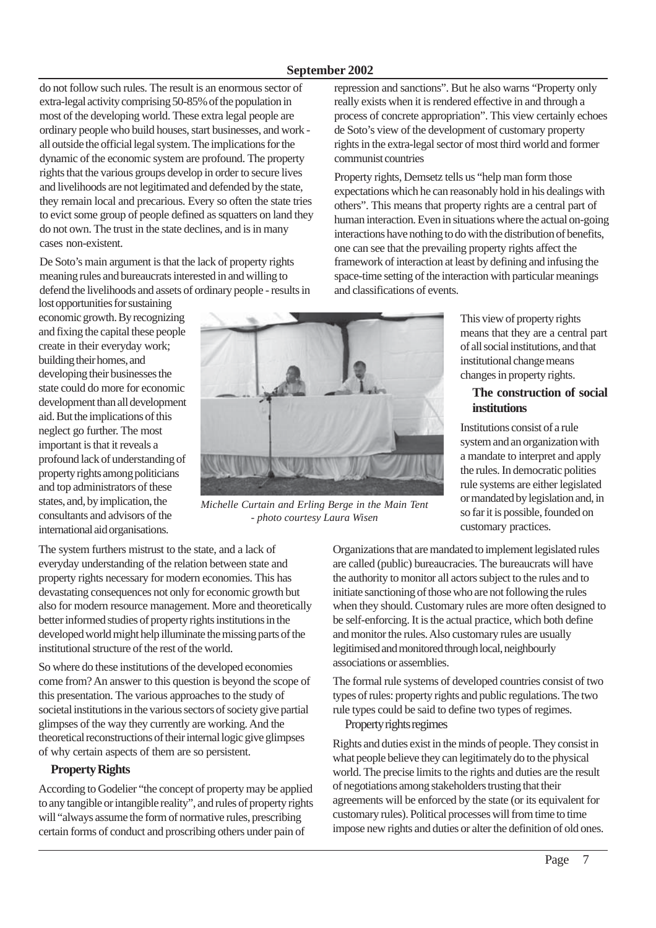#### **September 2002**

do not follow such rules. The result is an enormous sector of extra-legal activity comprising 50-85% of the population in most of the developing world. These extra legal people are ordinary people who build houses, start businesses, and work all outside the official legal system. The implications for the dynamic of the economic system are profound. The property rights that the various groups develop in order to secure lives and livelihoods are not legitimated and defended by the state, they remain local and precarious. Every so often the state tries to evict some group of people defined as squatters on land they do not own. The trust in the state declines, and is in many cases non-existent.

De Soto's main argument is that the lack of property rights meaning rules and bureaucrats interested in and willing to defend the livelihoods and assets of ordinary people - results in

lost opportunities for sustaining economic growth. By recognizing and fixing the capital these people create in their everyday work; building their homes, and developing their businesses the state could do more for economic development than all development aid. But the implications of this neglect go further. The most important is that it reveals a profound lack of understanding of property rights among politicians and top administrators of these states, and, by implication, the consultants and advisors of the international aid organisations.



*Michelle Curtain and Erling Berge in the Main Tent - photo courtesy Laura Wisen*

The system furthers mistrust to the state, and a lack of everyday understanding of the relation between state and property rights necessary for modern economies. This has devastating consequences not only for economic growth but also for modern resource management. More and theoretically better informed studies of property rights institutions in the developed world might help illuminate the missing parts of the institutional structure of the rest of the world.

So where do these institutions of the developed economies come from? An answer to this question is beyond the scope of this presentation. The various approaches to the study of societal institutions in the various sectors of society give partial glimpses of the way they currently are working. And the theoretical reconstructions of their internal logic give glimpses of why certain aspects of them are so persistent.

#### **Property Rights**

According to Godelier "the concept of property may be applied to any tangible or intangible reality", and rules of property rights will "always assume the form of normative rules, prescribing certain forms of conduct and proscribing others under pain of

repression and sanctions". But he also warns "Property only really exists when it is rendered effective in and through a process of concrete appropriation". This view certainly echoes de Soto's view of the development of customary property rights in the extra-legal sector of most third world and former communist countries

Property rights, Demsetz tells us "help man form those expectations which he can reasonably hold in his dealings with others". This means that property rights are a central part of human interaction. Even in situations where the actual on-going interactions have nothing to do with the distribution of benefits, one can see that the prevailing property rights affect the framework of interaction at least by defining and infusing the space-time setting of the interaction with particular meanings and classifications of events.

> This view of property rights means that they are a central part of all social institutions, and that institutional change means changes in property rights.

#### **The construction of social institutions**

Institutions consist of a rule system and an organization with a mandate to interpret and apply the rules. In democratic polities rule systems are either legislated or mandated by legislation and, in so far it is possible, founded on customary practices.

Organizations that are mandated to implement legislated rules are called (public) bureaucracies. The bureaucrats will have the authority to monitor all actors subject to the rules and to initiate sanctioning of those who are not following the rules when they should. Customary rules are more often designed to be self-enforcing. It is the actual practice, which both define and monitor the rules. Also customary rules are usually legitimised and monitored through local, neighbourly associations or assemblies.

The formal rule systems of developed countries consist of two types of rules: property rights and public regulations. The two rule types could be said to define two types of regimes.

#### Property rights regimes

Rights and duties exist in the minds of people. They consist in what people believe they can legitimately do to the physical world. The precise limits to the rights and duties are the result of negotiations among stakeholders trusting that their agreements will be enforced by the state (or its equivalent for customary rules). Political processes will from time to time impose new rights and duties or alter the definition of old ones.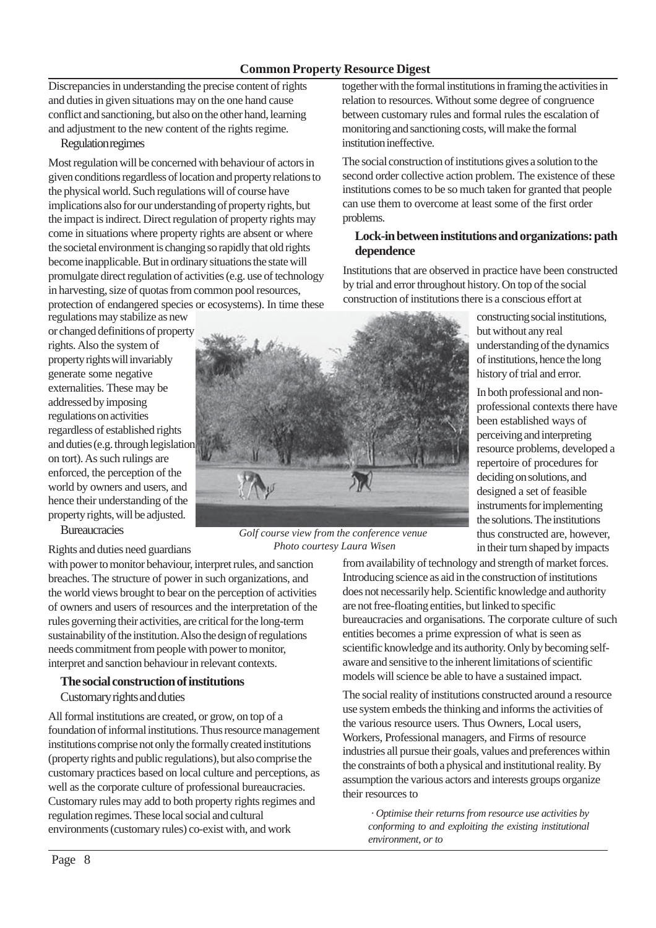#### **Common Property Resource Digest**

Discrepancies in understanding the precise content of rights and duties in given situations may on the one hand cause conflict and sanctioning, but also on the other hand, learning and adjustment to the new content of the rights regime.

Regulation regimes

Most regulation will be concerned with behaviour of actors in given conditions regardless of location and property relations to the physical world. Such regulations will of course have implications also for our understanding of property rights, but the impact is indirect. Direct regulation of property rights may come in situations where property rights are absent or where the societal environment is changing so rapidly that old rights become inapplicable. But in ordinary situations the state will promulgate direct regulation of activities (e.g. use of technology in harvesting, size of quotas from common pool resources, protection of endangered species or ecosystems). In time these

regulations may stabilize as new or changed definitions of property rights. Also the system of property rights will invariably generate some negative externalities. These may be addressed by imposing regulations on activities regardless of established rights and duties (e.g. through legislation on tort). As such rulings are enforced, the perception of the world by owners and users, and hence their understanding of the property rights, will be adjusted.

**Bureaucracies** 

Rights and duties need guardians

with power to monitor behaviour, interpret rules, and sanction breaches. The structure of power in such organizations, and the world views brought to bear on the perception of activities of owners and users of resources and the interpretation of the rules governing their activities, are critical for the long-term sustainability of the institution. Also the design of regulations needs commitment from people with power to monitor, interpret and sanction behaviour in relevant contexts.

#### **The social construction of institutions** Customary rights and duties

All formal institutions are created, or grow, on top of a foundation of informal institutions. Thus resource management institutions comprise not only the formally created institutions (property rights and public regulations), but also comprise the customary practices based on local culture and perceptions, as well as the corporate culture of professional bureaucracies. Customary rules may add to both property rights regimes and regulation regimes. These local social and cultural environments (customary rules) co-exist with, and work



*Golf course view from the conference venue Photo courtesy Laura Wisen*

together with the formal institutions in framing the activities in relation to resources. Without some degree of congruence between customary rules and formal rules the escalation of monitoring and sanctioning costs, will make the formal institution ineffective.

The social construction of institutions gives a solution to the second order collective action problem. The existence of these institutions comes to be so much taken for granted that people can use them to overcome at least some of the first order problems.

#### **Lock-in between institutions and organizations: path dependence**

Institutions that are observed in practice have been constructed by trial and error throughout history. On top of the social construction of institutions there is a conscious effort at

> constructing social institutions, but without any real understanding of the dynamics of institutions, hence the long history of trial and error.

In both professional and nonprofessional contexts there have been established ways of perceiving and interpreting resource problems, developed a repertoire of procedures for deciding on solutions, and designed a set of feasible instruments for implementing the solutions. The institutions thus constructed are, however, in their turn shaped by impacts

from availability of technology and strength of market forces. Introducing science as aid in the construction of institutions does not necessarily help. Scientific knowledge and authority are not free-floating entities, but linked to specific bureaucracies and organisations. The corporate culture of such entities becomes a prime expression of what is seen as scientific knowledge and its authority. Only by becoming selfaware and sensitive to the inherent limitations of scientific models will science be able to have a sustained impact.

The social reality of institutions constructed around a resource use system embeds the thinking and informs the activities of the various resource users. Thus Owners, Local users, Workers, Professional managers, and Firms of resource industries all pursue their goals, values and preferences within the constraints of both a physical and institutional reality. By assumption the various actors and interests groups organize their resources to

*· Optimise their returns from resource use activities by conforming to and exploiting the existing institutional environment, or to*